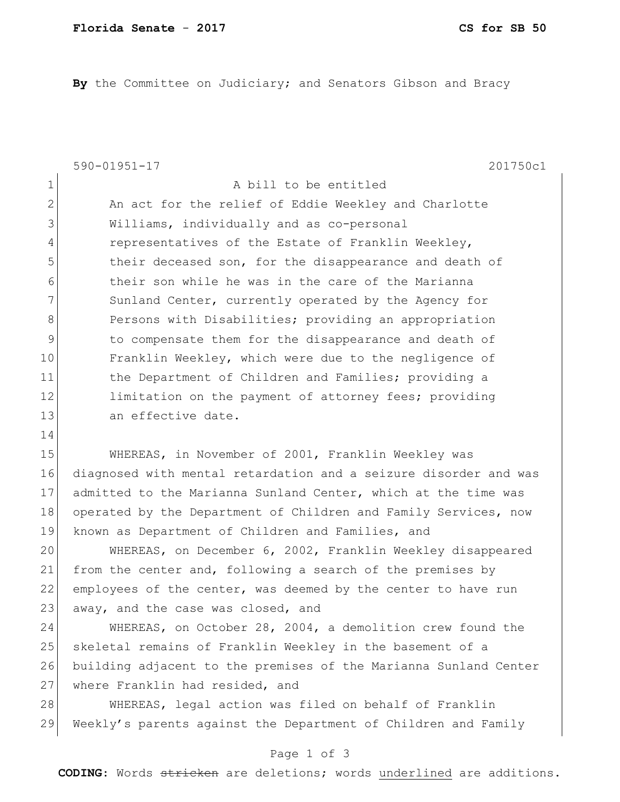**By** the Committee on Judiciary; and Senators Gibson and Bracy

|             | $590 - 01951 - 17$<br>201750c1                         |
|-------------|--------------------------------------------------------|
| $\mathbf 1$ | A bill to be entitled                                  |
| 2           | An act for the relief of Eddie Weekley and Charlotte   |
| 3           | Williams, individually and as co-personal              |
| 4           | representatives of the Estate of Franklin Weekley,     |
| 5           | their deceased son, for the disappearance and death of |
| 6           | their son while he was in the care of the Marianna     |
| 7           | Sunland Center, currently operated by the Agency for   |
| 8           | Persons with Disabilities; providing an appropriation  |
| 9           | to compensate them for the disappearance and death of  |
| 10          | Franklin Weekley, which were due to the negligence of  |
| 11          | the Department of Children and Families; providing a   |
| 12          | limitation on the payment of attorney fees; providing  |
| 13          | an effective date.                                     |
| 14          |                                                        |

15 WHEREAS, in November of 2001, Franklin Weekley was 16 diagnosed with mental retardation and a seizure disorder and was 17 admitted to the Marianna Sunland Center, which at the time was 18 operated by the Department of Children and Family Services, now 19 known as Department of Children and Families, and

20 WHEREAS, on December 6, 2002, Franklin Weekley disappeared 21 from the center and, following a search of the premises by 22 employees of the center, was deemed by the center to have run 23 away, and the case was closed, and

24 WHEREAS, on October 28, 2004, a demolition crew found the 25 skeletal remains of Franklin Weekley in the basement of a 26 building adjacent to the premises of the Marianna Sunland Center 27 where Franklin had resided, and

28 WHEREAS, legal action was filed on behalf of Franklin 29 Weekly's parents against the Department of Children and Family

## Page 1 of 3

**CODING**: Words stricken are deletions; words underlined are additions.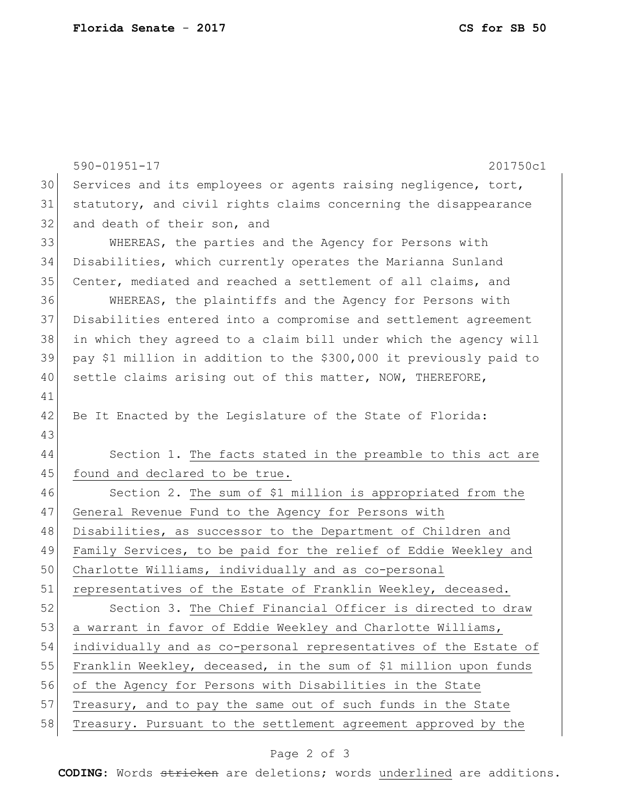|    | $590 - 01951 - 17$<br>201750c1                                     |
|----|--------------------------------------------------------------------|
| 30 | Services and its employees or agents raising negligence, tort,     |
| 31 | statutory, and civil rights claims concerning the disappearance    |
| 32 | and death of their son, and                                        |
| 33 | WHEREAS, the parties and the Agency for Persons with               |
| 34 | Disabilities, which currently operates the Marianna Sunland        |
| 35 | Center, mediated and reached a settlement of all claims, and       |
| 36 | WHEREAS, the plaintiffs and the Agency for Persons with            |
| 37 | Disabilities entered into a compromise and settlement agreement    |
| 38 | in which they agreed to a claim bill under which the agency will   |
| 39 | pay \$1 million in addition to the \$300,000 it previously paid to |
| 40 | settle claims arising out of this matter, NOW, THEREFORE,          |
| 41 |                                                                    |
| 42 | Be It Enacted by the Legislature of the State of Florida:          |
| 43 |                                                                    |
| 44 | Section 1. The facts stated in the preamble to this act are        |
| 45 | found and declared to be true.                                     |
| 46 | Section 2. The sum of \$1 million is appropriated from the         |
| 47 | General Revenue Fund to the Agency for Persons with                |
| 48 | Disabilities, as successor to the Department of Children and       |
| 49 | Family Services, to be paid for the relief of Eddie Weekley and    |
| 50 | Charlotte Williams, individually and as co-personal                |
| 51 | representatives of the Estate of Franklin Weekley, deceased.       |
| 52 | Section 3. The Chief Financial Officer is directed to draw         |
| 53 | a warrant in favor of Eddie Weekley and Charlotte Williams,        |
| 54 | individually and as co-personal representatives of the Estate of   |
| 55 | Franklin Weekley, deceased, in the sum of \$1 million upon funds   |
| 56 | of the Agency for Persons with Disabilities in the State           |
| 57 | Treasury, and to pay the same out of such funds in the State       |
| 58 | Treasury. Pursuant to the settlement agreement approved by the     |

## Page 2 of 3

**CODING**: Words stricken are deletions; words underlined are additions.